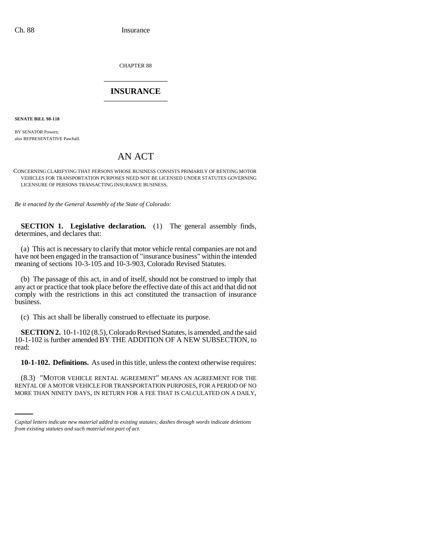CHAPTER 88 \_\_\_\_\_\_\_\_\_\_\_\_\_\_\_

## **INSURANCE** \_\_\_\_\_\_\_\_\_\_\_\_\_\_\_

**SENATE BILL 98-118**

BY SENATOR Powers: also REPRESENTATIVE Paschall.

## AN ACT

CONCERNING CLARIFYING THAT PERSONS WHOSE BUSINESS CONSISTS PRIMARILY OF RENTING MOTOR VEHICLES FOR TRANSPORTATION PURPOSES NEED NOT BE LICENSED UNDER STATUTES GOVERNING LICENSURE OF PERSONS TRANSACTING INSURANCE BUSINESS.

*Be it enacted by the General Assembly of the State of Colorado:*

**SECTION 1. Legislative declaration.** (1) The general assembly finds, determines, and declares that:

(a) This act is necessary to clarify that motor vehicle rental companies are not and have not been engaged in the transaction of "insurance business" within the intended meaning of sections 10-3-105 and 10-3-903, Colorado Revised Statutes.

(b) The passage of this act, in and of itself, should not be construed to imply that any act or practice that took place before the effective date of this act and that did not comply with the restrictions in this act constituted the transaction of insurance business.

(c) This act shall be liberally construed to effectuate its purpose.

**SECTION 2.** 10-1-102 (8.5), Colorado Revised Statutes, is amended, and the said 10-1-102 is further amended BY THE ADDITION OF A NEW SUBSECTION, to read:

**10-1-102. Definitions.** As used in this title, unless the context otherwise requires:

(8.3) "MOTOR VEHICLE RENTAL AGREEMENT" MEANS AN AGREEMENT FOR THE RENTAL OF A MOTOR VEHICLE FOR TRANSPORTATION PURPOSES, FOR A PERIOD OF NO MORE THAN NINETY DAYS, IN RETURN FOR A FEE THAT IS CALCULATED ON A DAILY,

*Capital letters indicate new material added to existing statutes; dashes through words indicate deletions from existing statutes and such material not part of act.*